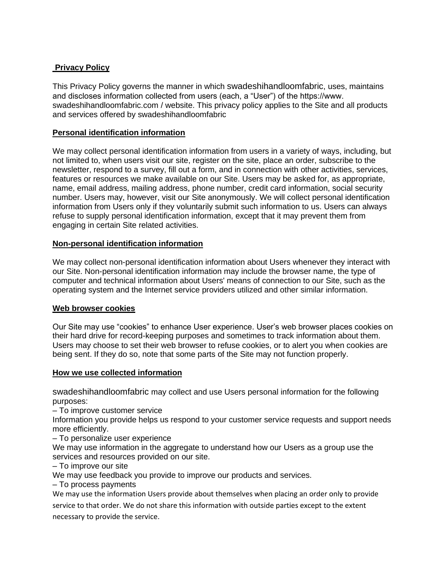# **Privacy Policy**

This Privacy Policy governs the manner in which swadeshihandloomfabric, uses, maintains and discloses information collected from users (each, a "User") of the https://www. swadeshihandloomfabric.com / website. This privacy policy applies to the Site and all products and services offered by swadeshihandloomfabric

# **Personal identification information**

We may collect personal identification information from users in a variety of ways, including, but not limited to, when users visit our site, register on the site, place an order, subscribe to the newsletter, respond to a survey, fill out a form, and in connection with other activities, services, features or resources we make available on our Site. Users may be asked for, as appropriate, name, email address, mailing address, phone number, credit card information, social security number. Users may, however, visit our Site anonymously. We will collect personal identification information from Users only if they voluntarily submit such information to us. Users can always refuse to supply personal identification information, except that it may prevent them from engaging in certain Site related activities.

# **Non-personal identification information**

We may collect non-personal identification information about Users whenever they interact with our Site. Non-personal identification information may include the browser name, the type of computer and technical information about Users' means of connection to our Site, such as the operating system and the Internet service providers utilized and other similar information.

# **Web browser cookies**

Our Site may use "cookies" to enhance User experience. User's web browser places cookies on their hard drive for record-keeping purposes and sometimes to track information about them. Users may choose to set their web browser to refuse cookies, or to alert you when cookies are being sent. If they do so, note that some parts of the Site may not function properly.

# **How we use collected information**

swadeshihandloomfabric may collect and use Users personal information for the following purposes:

– To improve customer service

Information you provide helps us respond to your customer service requests and support needs more efficiently.

– To personalize user experience

We may use information in the aggregate to understand how our Users as a group use the services and resources provided on our site.

– To improve our site

We may use feedback you provide to improve our products and services.

– To process payments

We may use the information Users provide about themselves when placing an order only to provide

service to that order. We do not share this information with outside parties except to the extent necessary to provide the service.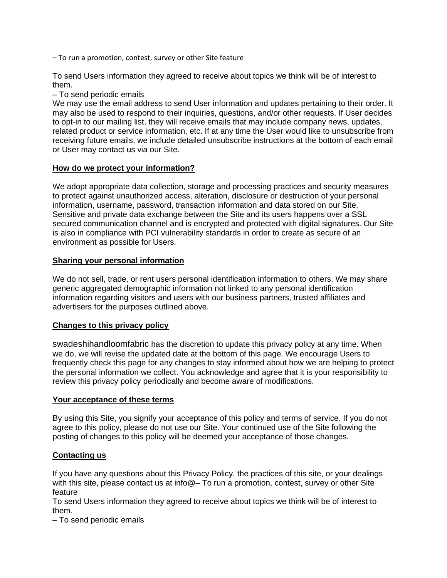– To run a promotion, contest, survey or other Site feature

To send Users information they agreed to receive about topics we think will be of interest to them.

– To send periodic emails

We may use the email address to send User information and updates pertaining to their order. It may also be used to respond to their inquiries, questions, and/or other requests. If User decides to opt-in to our mailing list, they will receive emails that may include company news, updates, related product or service information, etc. If at any time the User would like to unsubscribe from receiving future emails, we include detailed unsubscribe instructions at the bottom of each email or User may contact us via our Site.

### **How do we protect your information?**

We adopt appropriate data collection, storage and processing practices and security measures to protect against unauthorized access, alteration, disclosure or destruction of your personal information, username, password, transaction information and data stored on our Site. Sensitive and private data exchange between the Site and its users happens over a SSL secured communication channel and is encrypted and protected with digital signatures. Our Site is also in compliance with PCI vulnerability standards in order to create as secure of an environment as possible for Users.

### **Sharing your personal information**

We do not sell, trade, or rent users personal identification information to others. We may share generic aggregated demographic information not linked to any personal identification information regarding visitors and users with our business partners, trusted affiliates and advertisers for the purposes outlined above.

# **Changes to this privacy policy**

swadeshihandloomfabric has the discretion to update this privacy policy at any time. When we do, we will revise the updated date at the bottom of this page. We encourage Users to frequently check this page for any changes to stay informed about how we are helping to protect the personal information we collect. You acknowledge and agree that it is your responsibility to review this privacy policy periodically and become aware of modifications.

#### **Your acceptance of these terms**

By using this Site, you signify your acceptance of this policy and terms of service. If you do not agree to this policy, please do not use our Site. Your continued use of the Site following the posting of changes to this policy will be deemed your acceptance of those changes.

# **Contacting us**

If you have any questions about this Privacy Policy, the practices of this site, or your dealings with this site, please contact us at info@– To run a promotion, contest, survey or other Site feature

To send Users information they agreed to receive about topics we think will be of interest to them.

– To send periodic emails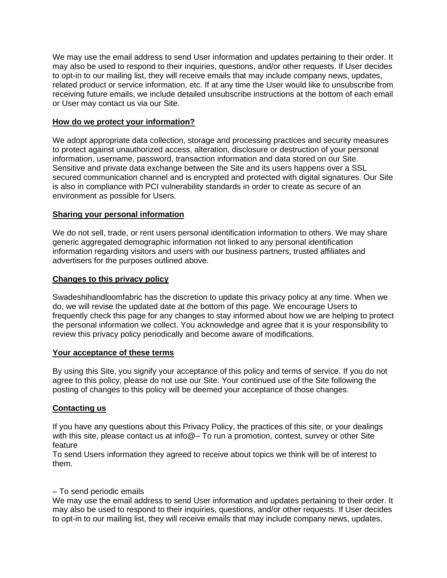We may use the email address to send User information and updates pertaining to their order. It may also be used to respond to their inquiries, questions, and/or other requests. If User decides to opt-in to our mailing list, they will receive emails that may include company news, updates, related product or service information, etc. If at any time the User would like to unsubscribe from receiving future emails, we include detailed unsubscribe instructions at the bottom of each email or User may contact us via our Site.

### **How do we protect your information?**

We adopt appropriate data collection, storage and processing practices and security measures to protect against unauthorized access, alteration, disclosure or destruction of your personal information, username, password, transaction information and data stored on our Site. Sensitive and private data exchange between the Site and its users happens over a SSL secured communication channel and is encrypted and protected with digital signatures. Our Site is also in compliance with PCI vulnerability standards in order to create as secure of an environment as possible for Users.

### **Sharing your personal information**

We do not sell, trade, or rent users personal identification information to others. We may share generic aggregated demographic information not linked to any personal identification information regarding visitors and users with our business partners, trusted affiliates and advertisers for the purposes outlined above.

### **Changes to this privacy policy**

Swadeshihandloomfabric has the discretion to update this privacy policy at any time. When we do, we will revise the updated date at the bottom of this page. We encourage Users to frequently check this page for any changes to stay informed about how we are helping to protect the personal information we collect. You acknowledge and agree that it is your responsibility to review this privacy policy periodically and become aware of modifications.

#### **Your acceptance of these terms**

By using this Site, you signify your acceptance of this policy and terms of service. If you do not agree to this policy, please do not use our Site. Your continued use of the Site following the posting of changes to this policy will be deemed your acceptance of those changes.

# **Contacting us**

If you have any questions about this Privacy Policy, the practices of this site, or your dealings with this site, please contact us at info@– To run a promotion, contest, survey or other Site feature

To send Users information they agreed to receive about topics we think will be of interest to them.

### – To send periodic emails

We may use the email address to send User information and updates pertaining to their order. It may also be used to respond to their inquiries, questions, and/or other requests. If User decides to opt-in to our mailing list, they will receive emails that may include company news, updates,